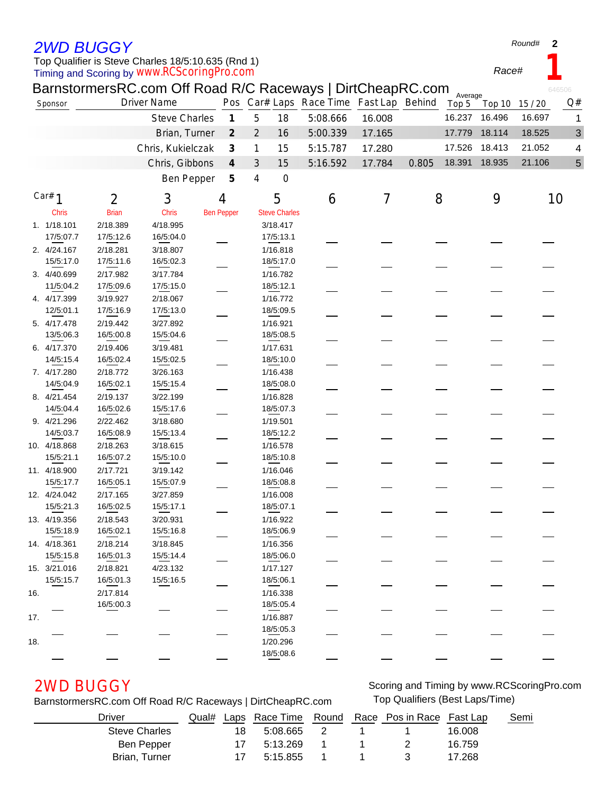## *2WD BUGGY*

### Timing and Scoring by *www.RCScoringPro.com* Top Qualifier is Steve Charles 18/5:10.635 (Rnd 1)

*Race#* **1**

**2**

*Round#*

|     |              |              | BarnstormersRC.com Off Road R/C Raceways   DirtCheapRC.com<br><b>Driver Name</b> |  |                             |                |                      | Pos Car# Laps Race Time Fast Lap Behind |        |       | Average |                |        | 646506<br>Q# |
|-----|--------------|--------------|----------------------------------------------------------------------------------|--|-----------------------------|----------------|----------------------|-----------------------------------------|--------|-------|---------|----------------|--------|--------------|
|     | Sponsor      |              |                                                                                  |  |                             |                |                      |                                         |        |       | Top 5   | Top 10 15 / 20 |        |              |
|     |              |              | <b>Steve Charles</b>                                                             |  | $\boldsymbol{\mathcal{I}}$  | 5              | 18                   | 5:08.666                                | 16.008 |       | 16.237  | 16.496         | 16.697 | 1            |
|     |              |              | Brian, Turner                                                                    |  | $\mathcal{Z}_{\mathcal{C}}$ | $\overline{2}$ | 16                   | 5:00.339                                | 17.165 |       | 17.779  | 18.114         | 18.525 | 3            |
|     |              |              | Chris, Kukielczak                                                                |  | $\boldsymbol{\beta}$        | 1              | 15                   | 5:15.787                                | 17.280 |       | 17.526  | 18.413         | 21.052 | 4            |
|     |              |              | Chris, Gibbons                                                                   |  | $\boldsymbol{4}$            | 3              | 15                   | 5:16.592                                | 17.784 | 0.805 | 18.391  | 18.935         | 21.106 | 5            |
|     |              |              | <b>Ben Pepper</b>                                                                |  | 5                           | 4              | $\mathbf 0$          |                                         |        |       |         |                |        |              |
|     | Car# $1$     | 2            | 3                                                                                |  | 4                           |                | 5                    | 6                                       | 7      | 8     |         | 9              |        | 10           |
|     | <b>Chris</b> | <b>Brian</b> | <b>Chris</b>                                                                     |  | <b>Ben Pepper</b>           |                | <b>Steve Charles</b> |                                         |        |       |         |                |        |              |
|     | 1. 1/18.101  | 2/18.389     | 4/18.995                                                                         |  |                             |                | 3/18.417             |                                         |        |       |         |                |        |              |
|     | 17/5:07.7    | 17/5:12.6    | 16/5:04.0                                                                        |  |                             |                | 17/5:13.1            |                                         |        |       |         |                |        |              |
|     | 2. 4/24.167  | 2/18.281     | 3/18.807                                                                         |  |                             |                | 1/16.818             |                                         |        |       |         |                |        |              |
|     | 15/5:17.0    | 17/5:11.6    | 16/5:02.3                                                                        |  |                             |                | 18/5:17.0            |                                         |        |       |         |                |        |              |
|     | 3. 4/40.699  | 2/17.982     | 3/17.784                                                                         |  |                             |                | 1/16.782             |                                         |        |       |         |                |        |              |
|     | 11/5:04.2    | 17/5:09.6    | 17/5:15.0                                                                        |  |                             |                | 18/5:12.1            |                                         |        |       |         |                |        |              |
|     | 4. 4/17.399  | 3/19.927     | 2/18.067                                                                         |  |                             |                | 1/16.772             |                                         |        |       |         |                |        |              |
|     | 12/5:01.1    | 17/5:16.9    | 17/5:13.0                                                                        |  |                             |                | 18/5:09.5            |                                         |        |       |         |                |        |              |
|     | 5. 4/17.478  | 2/19.442     | 3/27.892                                                                         |  |                             |                | 1/16.921             |                                         |        |       |         |                |        |              |
|     | 13/5:06.3    | 16/5:00.8    | 15/5:04.6                                                                        |  |                             |                | 18/5:08.5            |                                         |        |       |         |                |        |              |
|     | 6. 4/17.370  | 2/19.406     | 3/19.481                                                                         |  |                             |                | 1/17.631             |                                         |        |       |         |                |        |              |
|     | 14/5:15.4    | 16/5:02.4    | 15/5:02.5                                                                        |  |                             |                | 18/5:10.0            |                                         |        |       |         |                |        |              |
|     | 7. 4/17.280  | 2/18.772     | 3/26.163                                                                         |  |                             |                | 1/16.438             |                                         |        |       |         |                |        |              |
|     | 14/5:04.9    | 16/5:02.1    | 15/5:15.4                                                                        |  |                             |                | 18/5:08.0            |                                         |        |       |         |                |        |              |
|     | 8. 4/21.454  | 2/19.137     | 3/22.199                                                                         |  |                             |                | 1/16.828             |                                         |        |       |         |                |        |              |
|     | 14/5:04.4    | 16/5:02.6    | 15/5:17.6                                                                        |  |                             |                | 18/5:07.3            |                                         |        |       |         |                |        |              |
|     | 9. 4/21.296  | 2/22.462     | 3/18.680                                                                         |  |                             |                | 1/19.501             |                                         |        |       |         |                |        |              |
|     | 14/5:03.7    | 16/5:08.9    | 15/5:13.4                                                                        |  |                             |                | 18/5:12.2            |                                         |        |       |         |                |        |              |
|     | 10. 4/18.868 | 2/18.263     | 3/18.615                                                                         |  |                             |                | 1/16.578             |                                         |        |       |         |                |        |              |
|     | 15/5:21.1    | 16/5:07.2    | 15/5:10.0                                                                        |  |                             |                | 18/5:10.8            |                                         |        |       |         |                |        |              |
|     | 11. 4/18.900 | 2/17.721     | 3/19.142                                                                         |  |                             |                | 1/16.046             |                                         |        |       |         |                |        |              |
|     | 15/5:17.7    | 16/5:05.1    | 15/5:07.9                                                                        |  |                             |                | 18/5:08.8            |                                         |        |       |         |                |        |              |
|     | 12. 4/24.042 | 2/17.165     | 3/27.859                                                                         |  |                             |                | 1/16.008             |                                         |        |       |         |                |        |              |
|     | 15/5:21.3    | 16/5:02.5    | 15/5:17.1                                                                        |  |                             |                | 18/5:07.1            |                                         |        |       |         |                |        |              |
|     | 13. 4/19.356 | 2/18.543     | 3/20.931                                                                         |  |                             |                | 1/16.922             |                                         |        |       |         |                |        |              |
|     | 15/5:18.9    | 16/5:02.1    | 15/5:16.8                                                                        |  |                             |                | 18/5:06.9            |                                         |        |       |         |                |        |              |
|     | 14. 4/18.361 | 2/18.214     | 3/18.845                                                                         |  |                             |                | 1/16.356             |                                         |        |       |         |                |        |              |
|     | 15/5:15.8    | 16/5:01.3    | 15/5:14.4                                                                        |  |                             |                | 18/5:06.0            |                                         |        |       |         |                |        |              |
|     | 15. 3/21.016 | 2/18.821     | 4/23.132                                                                         |  |                             |                | 1/17.127             |                                         |        |       |         |                |        |              |
|     | 15/5:15.7    | 16/5:01.3    | 15/5:16.5                                                                        |  |                             |                | 18/5:06.1            |                                         |        |       |         |                |        |              |
| 16. |              | 2/17.814     |                                                                                  |  |                             |                | 1/16.338             |                                         |        |       |         |                |        |              |
|     |              | 16/5:00.3    |                                                                                  |  |                             |                | 18/5:05.4            |                                         |        |       |         |                |        |              |
| 17. |              |              |                                                                                  |  |                             |                | 1/16.887             |                                         |        |       |         |                |        |              |
| 18. |              |              |                                                                                  |  |                             |                | 18/5:05.3            |                                         |        |       |         |                |        |              |
|     |              |              |                                                                                  |  |                             |                | 1/20.296             |                                         |        |       |         |                |        |              |
|     |              |              |                                                                                  |  |                             |                | 18/5:08.6            |                                         |        |       |         |                |        |              |

### BarnstormersRC.com Off Road R/C Raceways | DirtCheapRC.com Top Qualifiers (Best Laps/Time)

*2WD BUGGY* Scoring and Timing by www.RCScoringPro.com

| Driver        | Qual# |     |          |  | Laps Race Time Round Race Pos in Race Fast Lap |        | Semi |
|---------------|-------|-----|----------|--|------------------------------------------------|--------|------|
| Steve Charles |       | 18  | 5:08.665 |  |                                                | 16.008 |      |
| Ben Pepper    |       | 17. | 5:13.269 |  |                                                | 16.759 |      |
| Brian, Turner |       | 17. | 5:15.855 |  |                                                | 17.268 |      |